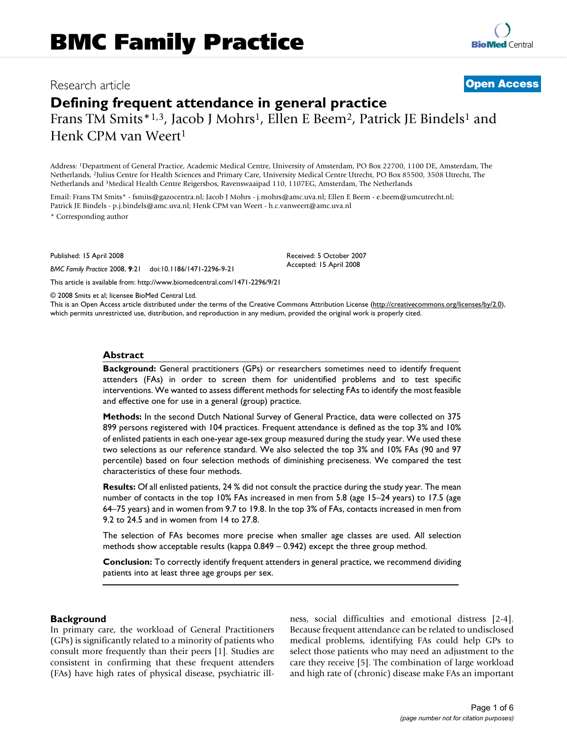# Research article **Open Access**

**Defining frequent attendance in general practice** Frans TM Smits\*1,3, Jacob J Mohrs<sup>1</sup>, Ellen E Beem<sup>2</sup>, Patrick JE Bindels<sup>1</sup> and Henk CPM van Weert<sup>1</sup>

Address: 1Department of General Practice, Academic Medical Centre, University of Amsterdam, PO Box 22700, 1100 DE, Amsterdam, The Netherlands, 2Julius Centre for Health Sciences and Primary Care, University Medical Centre Utrecht, PO Box 85500, 3508 Utrecht, The Netherlands and 3Medical Health Centre Reigersbos, Ravenswaaipad 110, 1107EG, Amsterdam, The Netherlands

Email: Frans TM Smits\* - fsmits@gazocentra.nl; Jacob J Mohrs - j.mohrs@amc.uva.nl; Ellen E Beem - e.beem@umcutrecht.nl; Patrick JE Bindels - p.j.bindels@amc.uva.nl; Henk CPM van Weert - h.c.vanweert@amc.uva.nl

\* Corresponding author

Published: 15 April 2008

*BMC Family Practice* 2008, **9**:21 doi:10.1186/1471-2296-9-21

This article is available from: http://www.biomedcentral.com/1471-2296/9/21

© 2008 Smits et al; licensee BioMed Central Ltd.

This is an Open Access article distributed under the terms of the Creative Commons Attribution License (http://creativecommons.org/licenses/by/2.0), which permits unrestricted use, distribution, and reproduction in any medium, provided the original work is properly cited.

Received: 5 October 2007 Accepted: 15 April 2008

#### **Abstract**

**Background:** General practitioners (GPs) or researchers sometimes need to identify frequent attenders (FAs) in order to screen them for unidentified problems and to test specific interventions. We wanted to assess different methods for selecting FAs to identify the most feasible and effective one for use in a general (group) practice.

**Methods:** In the second Dutch National Survey of General Practice, data were collected on 375 899 persons registered with 104 practices. Frequent attendance is defined as the top 3% and 10% of enlisted patients in each one-year age-sex group measured during the study year. We used these two selections as our reference standard. We also selected the top 3% and 10% FAs (90 and 97 percentile) based on four selection methods of diminishing preciseness. We compared the test characteristics of these four methods.

**Results:** Of all enlisted patients, 24 % did not consult the practice during the study year. The mean number of contacts in the top 10% FAs increased in men from 5.8 (age 15–24 years) to 17.5 (age 64–75 years) and in women from 9.7 to 19.8. In the top 3% of FAs, contacts increased in men from 9.2 to 24.5 and in women from 14 to 27.8.

The selection of FAs becomes more precise when smaller age classes are used. All selection methods show acceptable results (kappa 0.849 – 0.942) except the three group method.

**Conclusion:** To correctly identify frequent attenders in general practice, we recommend dividing patients into at least three age groups per sex.

### **Background**

In primary care, the workload of General Practitioners (GPs) is significantly related to a minority of patients who consult more frequently than their peers [1]. Studies are consistent in confirming that these frequent attenders (FAs) have high rates of physical disease, psychiatric illness, social difficulties and emotional distress [2-4]. Because frequent attendance can be related to undisclosed medical problems, identifying FAs could help GPs to select those patients who may need an adjustment to the care they receive [5]. The combination of large workload and high rate of (chronic) disease make FAs an important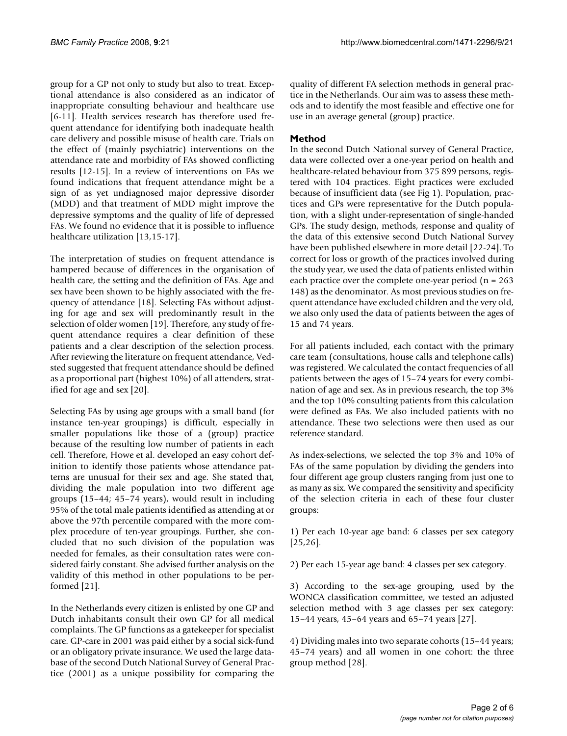group for a GP not only to study but also to treat. Exceptional attendance is also considered as an indicator of inappropriate consulting behaviour and healthcare use [6-11]. Health services research has therefore used frequent attendance for identifying both inadequate health care delivery and possible misuse of health care. Trials on the effect of (mainly psychiatric) interventions on the attendance rate and morbidity of FAs showed conflicting results [12-15]. In a review of interventions on FAs we found indications that frequent attendance might be a sign of as yet undiagnosed major depressive disorder (MDD) and that treatment of MDD might improve the depressive symptoms and the quality of life of depressed FAs. We found no evidence that it is possible to influence healthcare utilization [13,15-17].

The interpretation of studies on frequent attendance is hampered because of differences in the organisation of health care, the setting and the definition of FAs. Age and sex have been shown to be highly associated with the frequency of attendance [18]. Selecting FAs without adjusting for age and sex will predominantly result in the selection of older women [19]. Therefore, any study of frequent attendance requires a clear definition of these patients and a clear description of the selection process. After reviewing the literature on frequent attendance, Vedsted suggested that frequent attendance should be defined as a proportional part (highest 10%) of all attenders, stratified for age and sex [20].

Selecting FAs by using age groups with a small band (for instance ten-year groupings) is difficult, especially in smaller populations like those of a (group) practice because of the resulting low number of patients in each cell. Therefore, Howe et al. developed an easy cohort definition to identify those patients whose attendance patterns are unusual for their sex and age. She stated that, dividing the male population into two different age groups (15–44; 45–74 years), would result in including 95% of the total male patients identified as attending at or above the 97th percentile compared with the more complex procedure of ten-year groupings. Further, she concluded that no such division of the population was needed for females, as their consultation rates were considered fairly constant. She advised further analysis on the validity of this method in other populations to be performed [21].

In the Netherlands every citizen is enlisted by one GP and Dutch inhabitants consult their own GP for all medical complaints. The GP functions as a gatekeeper for specialist care. GP-care in 2001 was paid either by a social sick-fund or an obligatory private insurance. We used the large database of the second Dutch National Survey of General Practice (2001) as a unique possibility for comparing the quality of different FA selection methods in general practice in the Netherlands. Our aim was to assess these methods and to identify the most feasible and effective one for use in an average general (group) practice.

# **Method**

In the second Dutch National survey of General Practice, data were collected over a one-year period on health and healthcare-related behaviour from 375 899 persons, registered with 104 practices. Eight practices were excluded because of insufficient data (see Fig 1). Population, practices and GPs were representative for the Dutch population, with a slight under-representation of single-handed GPs. The study design, methods, response and quality of the data of this extensive second Dutch National Survey have been published elsewhere in more detail [22-24]. To correct for loss or growth of the practices involved during the study year, we used the data of patients enlisted within each practice over the complete one-year period ( $n = 263$ ) 148) as the denominator. As most previous studies on frequent attendance have excluded children and the very old, we also only used the data of patients between the ages of 15 and 74 years.

For all patients included, each contact with the primary care team (consultations, house calls and telephone calls) was registered. We calculated the contact frequencies of all patients between the ages of 15–74 years for every combination of age and sex. As in previous research, the top 3% and the top 10% consulting patients from this calculation were defined as FAs. We also included patients with no attendance. These two selections were then used as our reference standard.

As index-selections, we selected the top 3% and 10% of FAs of the same population by dividing the genders into four different age group clusters ranging from just one to as many as six. We compared the sensitivity and specificity of the selection criteria in each of these four cluster groups:

1) Per each 10-year age band: 6 classes per sex category [25,26].

2) Per each 15-year age band: 4 classes per sex category.

3) According to the sex-age grouping, used by the WONCA classification committee, we tested an adjusted selection method with 3 age classes per sex category: 15–44 years, 45–64 years and 65–74 years [27].

4) Dividing males into two separate cohorts (15–44 years; 45–74 years) and all women in one cohort: the three group method [28].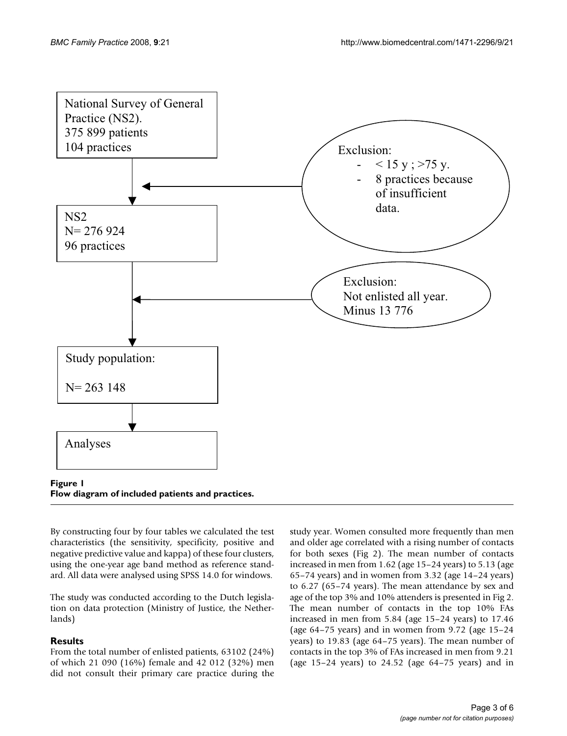

By constructing four by four tables we calculated the test characteristics (the sensitivity, specificity, positive and negative predictive value and kappa) of these four clusters, using the one-year age band method as reference standard. All data were analysed using SPSS 14.0 for windows.

The study was conducted according to the Dutch legislation on data protection (Ministry of Justice, the Netherlands)

# **Results**

From the total number of enlisted patients, 63102 (24%) of which 21 090 (16%) female and 42 012 (32%) men did not consult their primary care practice during the study year. Women consulted more frequently than men and older age correlated with a rising number of contacts for both sexes (Fig 2). The mean number of contacts increased in men from 1.62 (age 15–24 years) to 5.13 (age 65–74 years) and in women from 3.32 (age 14–24 years) to 6.27 (65–74 years). The mean attendance by sex and age of the top 3% and 10% attenders is presented in Fig 2. The mean number of contacts in the top 10% FAs increased in men from 5.84 (age 15–24 years) to 17.46 (age 64–75 years) and in women from 9.72 (age 15–24 years) to 19.83 (age 64–75 years). The mean number of contacts in the top 3% of FAs increased in men from 9.21 (age 15–24 years) to 24.52 (age 64–75 years) and in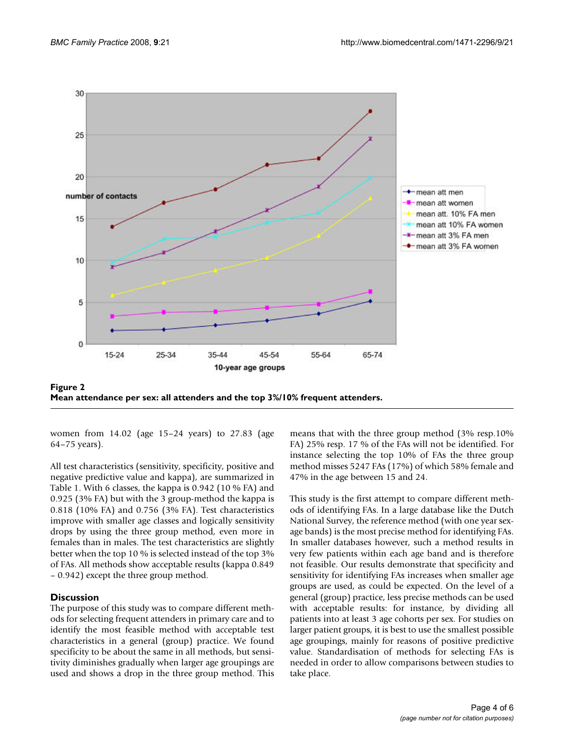

Mean attendance per sex: all attenders and the top 3%/10% frequent attenders **Figure 2 Mean attendance per sex: all attenders and the top 3%/10% frequent attenders.**

women from 14.02 (age 15–24 years) to 27.83 (age 64–75 years).

All test characteristics (sensitivity, specificity, positive and negative predictive value and kappa), are summarized in Table 1. With 6 classes, the kappa is 0.942 (10 % FA) and 0.925 (3% FA) but with the 3 group-method the kappa is 0.818 (10% FA) and 0.756 (3% FA). Test characteristics improve with smaller age classes and logically sensitivity drops by using the three group method, even more in females than in males. The test characteristics are slightly better when the top 10 % is selected instead of the top 3% of FAs. All methods show acceptable results (kappa 0.849 – 0.942) except the three group method.

## **Discussion**

The purpose of this study was to compare different methods for selecting frequent attenders in primary care and to identify the most feasible method with acceptable test characteristics in a general (group) practice. We found specificity to be about the same in all methods, but sensitivity diminishes gradually when larger age groupings are used and shows a drop in the three group method. This means that with the three group method (3% resp.10% FA) 25% resp. 17 % of the FAs will not be identified. For instance selecting the top 10% of FAs the three group method misses 5247 FAs (17%) of which 58% female and 47% in the age between 15 and 24.

This study is the first attempt to compare different methods of identifying FAs. In a large database like the Dutch National Survey, the reference method (with one year sexage bands) is the most precise method for identifying FAs. In smaller databases however, such a method results in very few patients within each age band and is therefore not feasible. Our results demonstrate that specificity and sensitivity for identifying FAs increases when smaller age groups are used, as could be expected. On the level of a general (group) practice, less precise methods can be used with acceptable results: for instance, by dividing all patients into at least 3 age cohorts per sex. For studies on larger patient groups, it is best to use the smallest possible age groupings, mainly for reasons of positive predictive value. Standardisation of methods for selecting FAs is needed in order to allow comparisons between studies to take place.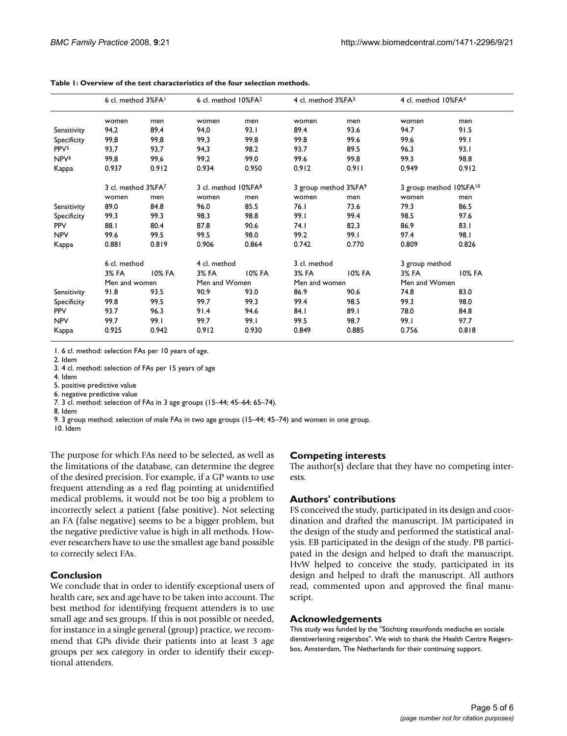|                  | 6 cl. method 3%FA  |               | 6 cl. method 10%FA <sup>2</sup> |               | 4 cl. method 3%FA3               |               | 4 cl. method 10%FA4                |               |
|------------------|--------------------|---------------|---------------------------------|---------------|----------------------------------|---------------|------------------------------------|---------------|
|                  | women              | men           | women                           | men           | women                            | men           | women                              | men           |
| Sensitivity      | 94,2               | 89,4          | 94.0                            | 93.I          | 89.4                             | 93.6          | 94.7                               | 91.5          |
| Specificity      | 99,8               | 99,8          | 99.3                            | 99.8          | 99.8                             | 99.6          | 99.6                               | 99.I          |
| PPV <sub>5</sub> | 93,7               | 93,7          | 94,3                            | 98.2          | 93.7                             | 89.5          | 96.3                               | 93.1          |
| NPV <sup>6</sup> | 99,8               | 99,6          | 99,2                            | 99.0          | 99.6                             | 99.8          | 99.3                               | 98.8          |
| Kappa            | 0.937              | 0.912         | 0.934                           | 0.950         | 0.912                            | 0.911         | 0.949                              | 0.912         |
|                  | 3 cl. method 3%FA7 |               | 3 cl. method 10%FA <sup>8</sup> |               | 3 group method 3%FA <sup>9</sup> |               | 3 group method 10%FA <sup>10</sup> |               |
|                  | women              | men           | women                           | men           | women                            | men           | women                              | men           |
| Sensitivity      | 89.0               | 84.8          | 96.0                            | 85.5          | 76.1                             | 73.6          | 79.3                               | 86.5          |
| Specificity      | 99.3               | 99.3          | 98.3                            | 98.8          | 99.I                             | 99.4          | 98.5                               | 97.6          |
| <b>PPV</b>       | 88.1               | 80.4          | 87.8                            | 90.6          | 74. I                            | 82.3          | 86.9                               | 83.1          |
| <b>NPV</b>       | 99.6               | 99.5          | 99.5                            | 98.0          | 99.2                             | 99.I          | 97.4                               | 98.I          |
| Kappa            | 0.881              | 0.819         | 0.906                           | 0.864         | 0.742                            | 0.770         | 0.809                              | 0.826         |
|                  | 6 cl. method       |               | 4 cl. method                    |               | 3 cl. method                     |               | 3 group method                     |               |
|                  | 3% FA              | <b>10% FA</b> | 3% FA                           | <b>10% FA</b> | 3% FA                            | <b>10% FA</b> | 3% FA                              | <b>10% FA</b> |
|                  | Men and women      |               | Men and Women                   |               | Men and women                    |               | Men and Women                      |               |
| Sensitivity      | 91.8               | 93.5          | 90.9                            | 93.0          | 86.9                             | 90.6          | 74.8                               | 83.0          |
| Specificity      | 99.8               | 99.5          | 99.7                            | 99.3          | 99.4                             | 98.5          | 99.3                               | 98.0          |
| <b>PPV</b>       | 93.7               | 96.3          | 91.4                            | 94.6          | 84.I                             | 89.1          | 78.0                               | 84.8          |
| <b>NPV</b>       | 99.7               | 99.I          | 99.7                            | 99.1          | 99.5                             | 98.7          | 99.I                               | 97.7          |
| Kappa            | 0.925              | 0.942         | 0.912                           | 0.930         | 0.849                            | 0.885         | 0.756                              | 0.818         |

**Table 1: Overview of the test characteristics of the four selection methods.**

1. 6 cl. method: selection FAs per 10 years of age.

2. Idem

3. 4 cl. method: selection of FAs per 15 years of age

4. Idem

5. positive predictive value

6. negative predictive value

7. 3 cl. method: selection of FAs in 3 age groups (15–44; 45–64; 65–74).

8. Idem

9. 3 group method: selection of male FAs in two age groups (15–44; 45–74) and women in one group.

10. Idem

The purpose for which FAs need to be selected, as well as the limitations of the database, can determine the degree of the desired precision. For example, if a GP wants to use frequent attending as a red flag pointing at unidentified medical problems, it would not be too big a problem to incorrectly select a patient (false positive). Not selecting an FA (false negative) seems to be a bigger problem, but the negative predictive value is high in all methods. However researchers have to use the smallest age band possible to correctly select FAs.

### **Conclusion**

We conclude that in order to identify exceptional users of health care, sex and age have to be taken into account. The best method for identifying frequent attenders is to use small age and sex groups. If this is not possible or needed, for instance in a single general (group) practice, we recommend that GPs divide their patients into at least 3 age groups per sex category in order to identify their exceptional attenders.

### **Competing interests**

The author(s) declare that they have no competing interests.

# **Authors' contributions**

FS conceived the study, participated in its design and coordination and drafted the manuscript. JM participated in the design of the study and performed the statistical analysis. EB participated in the design of the study. PB participated in the design and helped to draft the manuscript. HvW helped to conceive the study, participated in its design and helped to draft the manuscript. All authors read, commented upon and approved the final manuscript.

### **Acknowledgements**

This study was funded by the "Stichting steunfonds medische en sociale dienstverlening reigersbos". We wish to thank the Health Centre Reigersbos, Amsterdam, The Netherlands for their continuing support.